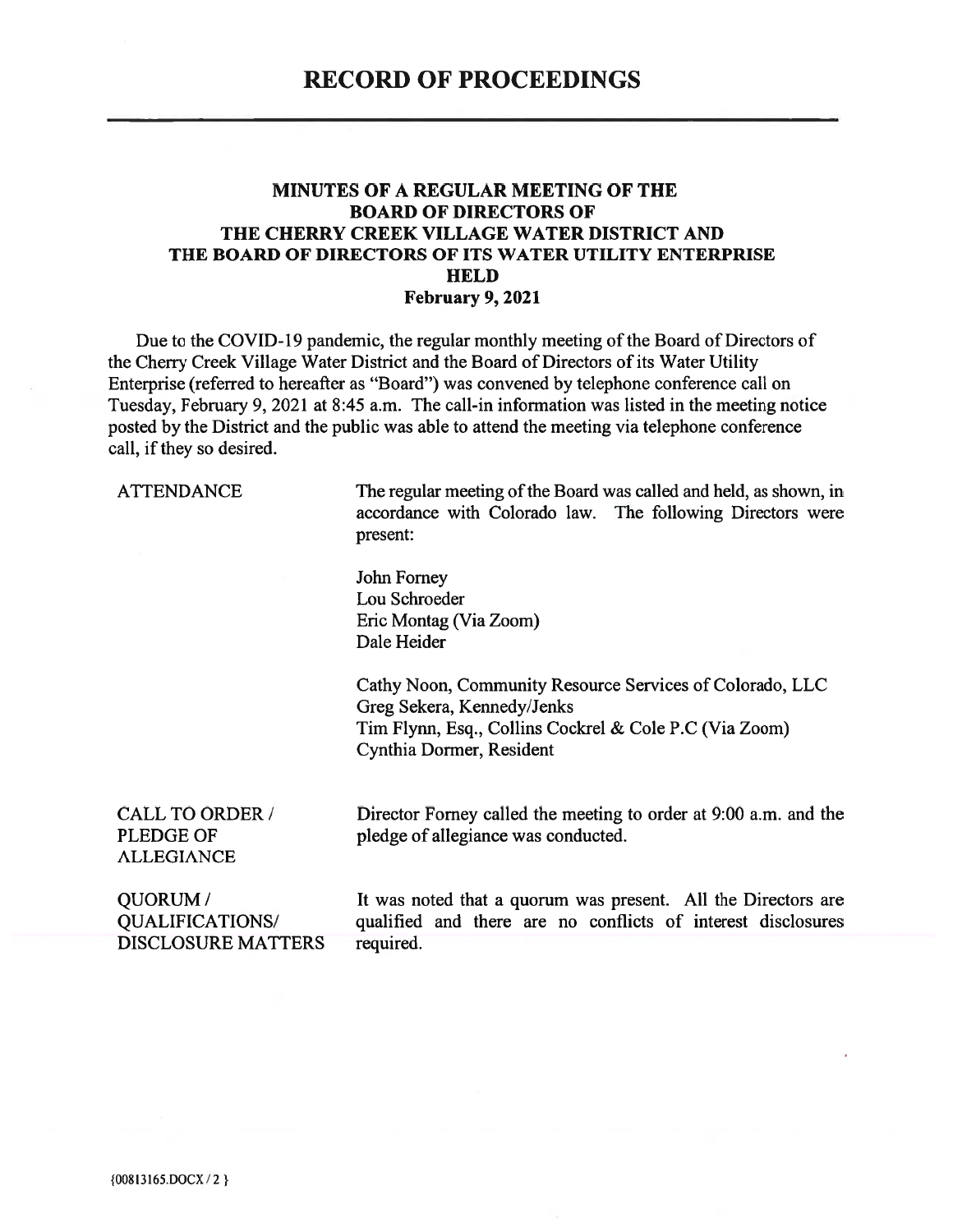#### **MINUTES OF A REGULAR MEETING OF THE BOARD OF DIRECTORS OF** THE CHERRY CREEK VILLAGE WATER DISTRICT AND THE BOARD OF DIRECTORS OF ITS WATER UTILITY ENTERPRISE **HELD** February 9, 2021

Due to the COVID-19 pandemic, the regular monthly meeting of the Board of Directors of the Cherry Creek Village Water District and the Board of Directors of its Water Utility Enterprise (referred to hereafter as "Board") was convened by telephone conference call on Tuesday, February 9, 2021 at 8:45 a.m. The call-in information was listed in the meeting notice posted by the District and the public was able to attend the meeting via telephone conference call, if they so desired.

**ATTENDANCE** 

The regular meeting of the Board was called and held, as shown, in accordance with Colorado law. The following Directors were present:

John Forney Lou Schroeder Eric Montag (Via Zoom) Dale Heider

Cathy Noon, Community Resource Services of Colorado, LLC Greg Sekera, Kennedy/Jenks Tim Flynn, Esq., Collins Cockrel & Cole P.C (Via Zoom) Cynthia Dormer, Resident

**CALL TO ORDER / PLEDGE OF ALLEGIANCE** 

Director Forney called the meeting to order at 9:00 a.m. and the pledge of allegiance was conducted.

QUORUM/ **QUALIFICATIONS/ DISCLOSURE MATTERS** 

It was noted that a quorum was present. All the Directors are qualified and there are no conflicts of interest disclosures required.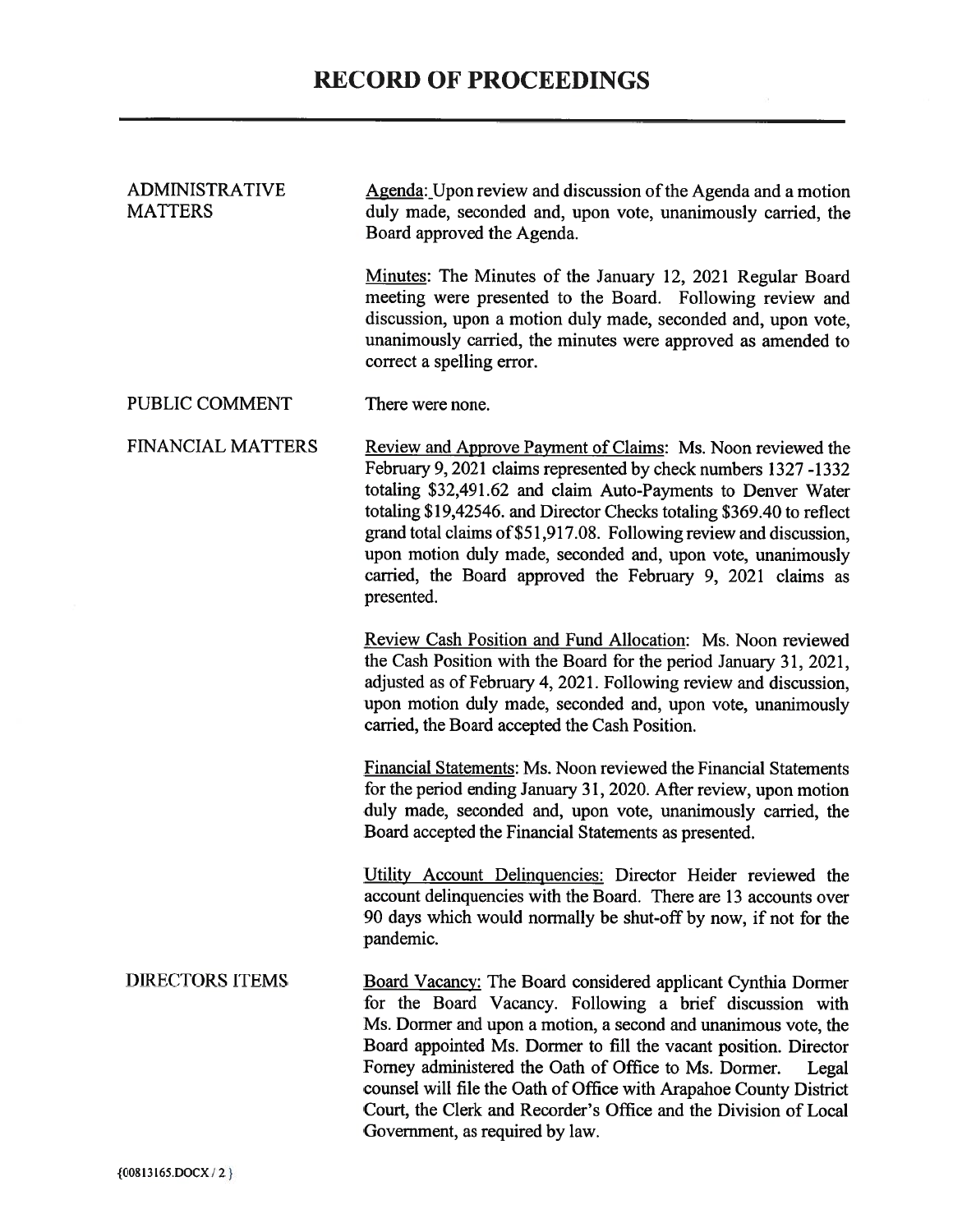| <b>ADMINISTRATIVE</b><br><b>MATTERS</b> | Agenda: Upon review and discussion of the Agenda and a motion<br>duly made, seconded and, upon vote, unanimously carried, the<br>Board approved the Agenda.                                                                                                                                                                                                                                                                                                                                                          |
|-----------------------------------------|----------------------------------------------------------------------------------------------------------------------------------------------------------------------------------------------------------------------------------------------------------------------------------------------------------------------------------------------------------------------------------------------------------------------------------------------------------------------------------------------------------------------|
|                                         | Minutes: The Minutes of the January 12, 2021 Regular Board<br>meeting were presented to the Board. Following review and<br>discussion, upon a motion duly made, seconded and, upon vote,<br>unanimously carried, the minutes were approved as amended to<br>correct a spelling error.                                                                                                                                                                                                                                |
| PUBLIC COMMENT                          | There were none.                                                                                                                                                                                                                                                                                                                                                                                                                                                                                                     |
| <b>FINANCIAL MATTERS</b>                | Review and Approve Payment of Claims: Ms. Noon reviewed the<br>February 9, 2021 claims represented by check numbers 1327-1332<br>totaling \$32,491.62 and claim Auto-Payments to Denver Water<br>totaling \$19,42546. and Director Checks totaling \$369.40 to reflect<br>grand total claims of \$51,917.08. Following review and discussion,<br>upon motion duly made, seconded and, upon vote, unanimously<br>carried, the Board approved the February 9, 2021 claims as<br>presented.                             |
|                                         | Review Cash Position and Fund Allocation: Ms. Noon reviewed<br>the Cash Position with the Board for the period January 31, 2021,<br>adjusted as of February 4, 2021. Following review and discussion,<br>upon motion duly made, seconded and, upon vote, unanimously<br>carried, the Board accepted the Cash Position.                                                                                                                                                                                               |
|                                         | Financial Statements: Ms. Noon reviewed the Financial Statements<br>for the period ending January 31, 2020. After review, upon motion<br>duly made, seconded and, upon vote, unanimously carried, the<br>Board accepted the Financial Statements as presented.                                                                                                                                                                                                                                                       |
|                                         | Utility Account Delinquencies: Director Heider reviewed the<br>account delinquencies with the Board. There are 13 accounts over<br>90 days which would normally be shut-off by now, if not for the<br>pandemic.                                                                                                                                                                                                                                                                                                      |
| <b>DIRECTORS ITEMS</b>                  | <b>Board Vacancy:</b> The Board considered applicant Cynthia Dormer<br>for the Board Vacancy. Following a brief discussion with<br>Ms. Dormer and upon a motion, a second and unanimous vote, the<br>Board appointed Ms. Dormer to fill the vacant position. Director<br>Forney administered the Oath of Office to Ms. Dormer.<br>Legal<br>counsel will file the Oath of Office with Arapahoe County District<br>Court, the Clerk and Recorder's Office and the Division of Local<br>Government, as required by law. |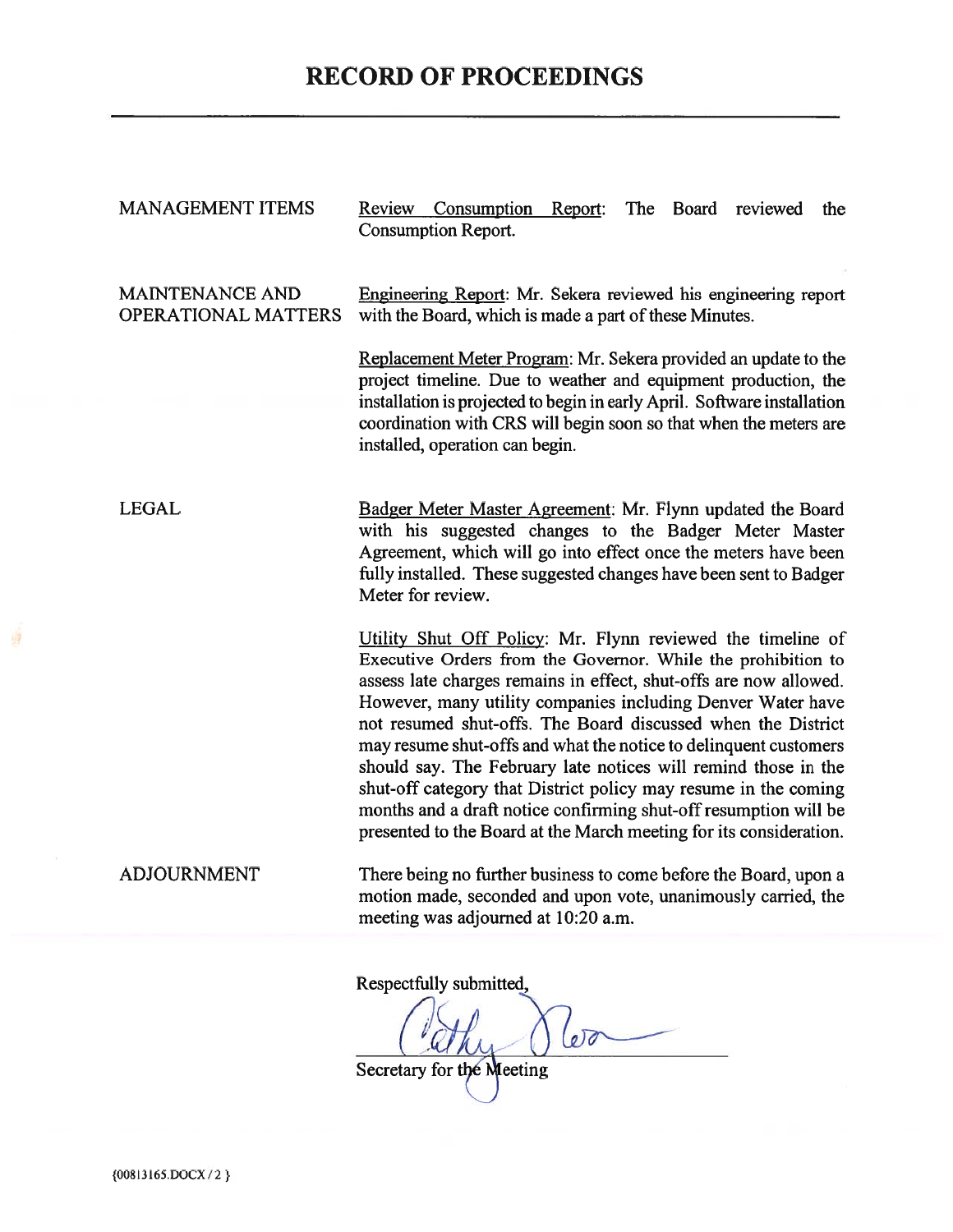# **RECORD OF PROCEEDINGS**

| <b>MANAGEMENT ITEMS</b>                       | Review Consumption Report:<br>The Board<br>reviewed<br>the<br><b>Consumption Report.</b>                                                                                                                                                                                                                                                                                                                                                                                                                                                                                                                                                                                           |  |  |  |  |  |  |  |
|-----------------------------------------------|------------------------------------------------------------------------------------------------------------------------------------------------------------------------------------------------------------------------------------------------------------------------------------------------------------------------------------------------------------------------------------------------------------------------------------------------------------------------------------------------------------------------------------------------------------------------------------------------------------------------------------------------------------------------------------|--|--|--|--|--|--|--|
| <b>MAINTENANCE AND</b><br>OPERATIONAL MATTERS | Engineering Report: Mr. Sekera reviewed his engineering report<br>with the Board, which is made a part of these Minutes.                                                                                                                                                                                                                                                                                                                                                                                                                                                                                                                                                           |  |  |  |  |  |  |  |
|                                               | Replacement Meter Program: Mr. Sekera provided an update to the<br>project timeline. Due to weather and equipment production, the<br>installation is projected to begin in early April. Software installation<br>coordination with CRS will begin soon so that when the meters are<br>installed, operation can begin.                                                                                                                                                                                                                                                                                                                                                              |  |  |  |  |  |  |  |
| <b>LEGAL</b>                                  | Badger Meter Master Agreement: Mr. Flynn updated the Board<br>with his suggested changes to the Badger Meter Master<br>Agreement, which will go into effect once the meters have been<br>fully installed. These suggested changes have been sent to Badger<br>Meter for review.                                                                                                                                                                                                                                                                                                                                                                                                    |  |  |  |  |  |  |  |
|                                               | Utility Shut Off Policy: Mr. Flynn reviewed the timeline of<br>Executive Orders from the Governor. While the prohibition to<br>assess late charges remains in effect, shut-offs are now allowed.<br>However, many utility companies including Denver Water have<br>not resumed shut-offs. The Board discussed when the District<br>may resume shut-offs and what the notice to delinquent customers<br>should say. The February late notices will remind those in the<br>shut-off category that District policy may resume in the coming<br>months and a draft notice confirming shut-off resumption will be<br>presented to the Board at the March meeting for its consideration. |  |  |  |  |  |  |  |
| <b>ADJOURNMENT</b>                            | There being no further business to come before the Board, upon a<br>motion made, seconded and upon vote, unanimously carried, the<br>meeting was adjourned at 10:20 a.m.                                                                                                                                                                                                                                                                                                                                                                                                                                                                                                           |  |  |  |  |  |  |  |
|                                               | Respectfully submitted,                                                                                                                                                                                                                                                                                                                                                                                                                                                                                                                                                                                                                                                            |  |  |  |  |  |  |  |

Secretary for the Meeting

 $\overline{\phantom{0}}$ 

剪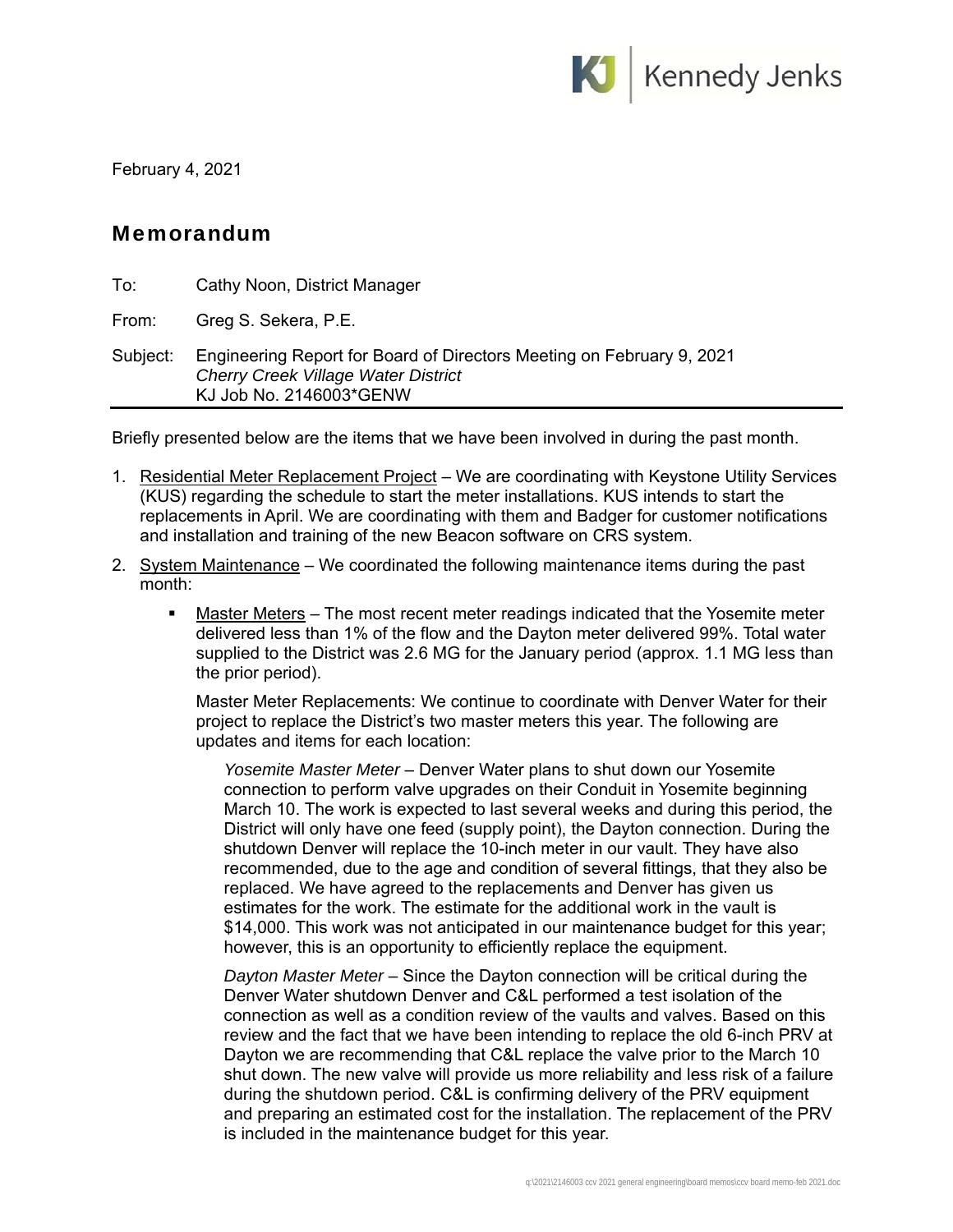

February 4, 2021

## Memorandum

| To:      | Cathy Noon, District Manager                                                                                                                   |
|----------|------------------------------------------------------------------------------------------------------------------------------------------------|
| From:    | Greg S. Sekera, P.E.                                                                                                                           |
| Subject: | Engineering Report for Board of Directors Meeting on February 9, 2021<br><b>Cherry Creek Village Water District</b><br>KJ Job No. 2146003*GENW |

Briefly presented below are the items that we have been involved in during the past month.

- 1. Residential Meter Replacement Project We are coordinating with Keystone Utility Services (KUS) regarding the schedule to start the meter installations. KUS intends to start the replacements in April. We are coordinating with them and Badger for customer notifications and installation and training of the new Beacon software on CRS system.
- 2. System Maintenance We coordinated the following maintenance items during the past month:
	- Master Meters The most recent meter readings indicated that the Yosemite meter delivered less than 1% of the flow and the Dayton meter delivered 99%. Total water supplied to the District was 2.6 MG for the January period (approx. 1.1 MG less than the prior period).

Master Meter Replacements: We continue to coordinate with Denver Water for their project to replace the District's two master meters this year. The following are updates and items for each location:

*Yosemite Master Meter* – Denver Water plans to shut down our Yosemite connection to perform valve upgrades on their Conduit in Yosemite beginning March 10. The work is expected to last several weeks and during this period, the District will only have one feed (supply point), the Dayton connection. During the shutdown Denver will replace the 10-inch meter in our vault. They have also recommended, due to the age and condition of several fittings, that they also be replaced. We have agreed to the replacements and Denver has given us estimates for the work. The estimate for the additional work in the vault is \$14,000. This work was not anticipated in our maintenance budget for this year; however, this is an opportunity to efficiently replace the equipment.

*Dayton Master Meter* – Since the Dayton connection will be critical during the Denver Water shutdown Denver and C&L performed a test isolation of the connection as well as a condition review of the vaults and valves. Based on this review and the fact that we have been intending to replace the old 6-inch PRV at Dayton we are recommending that C&L replace the valve prior to the March 10 shut down. The new valve will provide us more reliability and less risk of a failure during the shutdown period. C&L is confirming delivery of the PRV equipment and preparing an estimated cost for the installation. The replacement of the PRV is included in the maintenance budget for this year.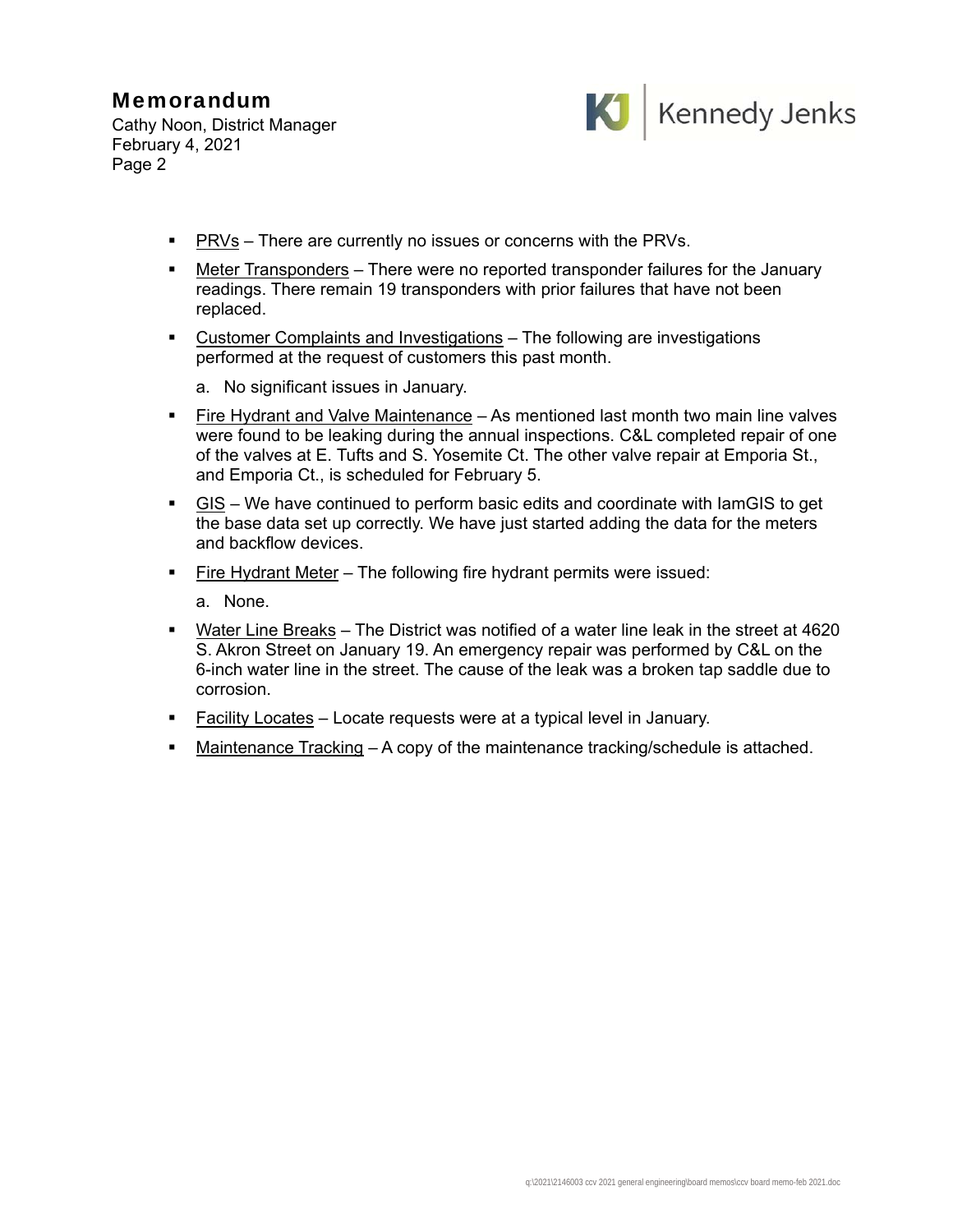## Memorandum

Cathy Noon, District Manager February 4, 2021 Page 2



- **PRVs** There are currently no issues or concerns with the PRVs.
- Meter Transponders There were no reported transponder failures for the January readings. There remain 19 transponders with prior failures that have not been replaced.
- Customer Complaints and Investigations The following are investigations performed at the request of customers this past month.
	- a. No significant issues in January.
- Fire Hydrant and Valve Maintenance As mentioned last month two main line valves were found to be leaking during the annual inspections. C&L completed repair of one of the valves at E. Tufts and S. Yosemite Ct. The other valve repair at Emporia St., and Emporia Ct., is scheduled for February 5.
- GIS We have continued to perform basic edits and coordinate with IamGIS to get the base data set up correctly. We have just started adding the data for the meters and backflow devices.
- **Fire Hydrant Meter** The following fire hydrant permits were issued:

a. None.

- Water Line Breaks The District was notified of a water line leak in the street at 4620 S. Akron Street on January 19. An emergency repair was performed by C&L on the 6-inch water line in the street. The cause of the leak was a broken tap saddle due to corrosion.
- **Facility Locates** Locate requests were at a typical level in January.
- Maintenance Tracking A copy of the maintenance tracking/schedule is attached.